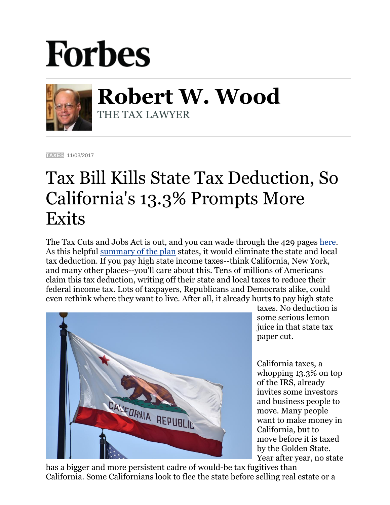## **Forbes**



**Robert W. Wood** THE TAX LAWYER

**[TAXES](https://www.forbes.com/taxes)** 11/03/2017

## Tax Bill Kills State Tax Deduction, So California's 13.3% Prompts More **Exits**

The Tax Cuts and Jobs Act is out, and you can wade through the 429 pages [here.](https://waysandmeansforms.house.gov/uploadedfiles/bill_text.pdf) As this helpful [summary of the plan](https://www.forbes.com/sites/kellyphillipserb/2017/11/02/from-mortgage-caps-to-tax-brackets-how-the-house-tax-bill-could-impact-your-taxes/) states, it would eliminate the state and local tax deduction. If you pay high state income taxes--think California, New York, and many other places--you'll care about this. Tens of millions of Americans claim this tax deduction, writing off their state and local taxes to reduce their federal income tax. Lots of taxpayers, Republicans and Democrats alike, could even rethink where they want to live. After all, it already hurts to pay high state



taxes. No deduction is some serious lemon juice in that state tax paper cut.

California taxes, a whopping 13.3% on top of the IRS, already invites some investors and business people to move. Many people want to make money in California, but to move before it is taxed by the Golden State. Year after year, no state

has a bigger and more persistent cadre of would-be tax fugitives than California. Some Californians look to flee the state before selling real estate or a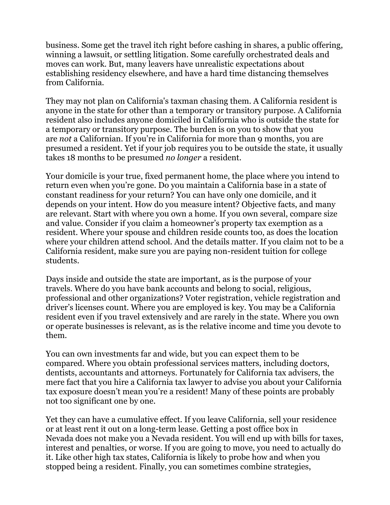business. Some get the travel itch right before cashing in shares, a public offering, winning a lawsuit, or settling litigation. Some carefully orchestrated deals and moves can work. But, many leavers have unrealistic expectations about establishing residency elsewhere, and have a hard time distancing themselves from California.

They may not plan on California's taxman chasing them. A California resident is anyone in the state for other than a temporary or transitory purpose. A California resident also includes anyone domiciled in California who is outside the state for a temporary or transitory purpose. The burden is on you to show that you are *not* a Californian. If you're in California for more than 9 months, you are presumed a resident. Yet if your job requires you to be outside the state, it usually takes 18 months to be presumed *no longer* a resident.

Your domicile is your true, fixed permanent home, the place where you intend to return even when you're gone. Do you maintain a California base in a state of constant readiness for your return? You can have only one domicile, and it depends on your intent. How do you measure intent? Objective facts, and many are relevant. Start with where you own a home. If you own several, compare size and value. Consider if you claim a homeowner's property tax exemption as a resident. Where your spouse and children reside counts too, as does the location where your children attend school. And the details matter. If you claim not to be a California resident, make sure you are paying non-resident tuition for college students.

Days inside and outside the state are important, as is the purpose of your travels. Where do you have bank accounts and belong to social, religious, professional and other organizations? Voter registration, vehicle registration and driver's licenses count. Where you are employed is key. You may be a California resident even if you travel extensively and are rarely in the state. Where you own or operate businesses is relevant, as is the relative income and time you devote to them.

You can own investments far and wide, but you can expect them to be compared. Where you obtain professional services matters, including doctors, dentists, accountants and attorneys. Fortunately for California tax advisers, the mere fact that you hire a California tax lawyer to advise you about your California tax exposure doesn't mean you're a resident! Many of these points are probably not too significant one by one.

Yet they can have a cumulative effect. If you leave California, sell your residence or at least rent it out on a long-term lease. Getting a post office box in Nevada does not make you a Nevada resident. You will end up with bills for taxes, interest and penalties, or worse. If you are going to move, you need to actually do it. Like other high tax states, California is likely to probe how and when you stopped being a resident. Finally, you can sometimes combine strategies,